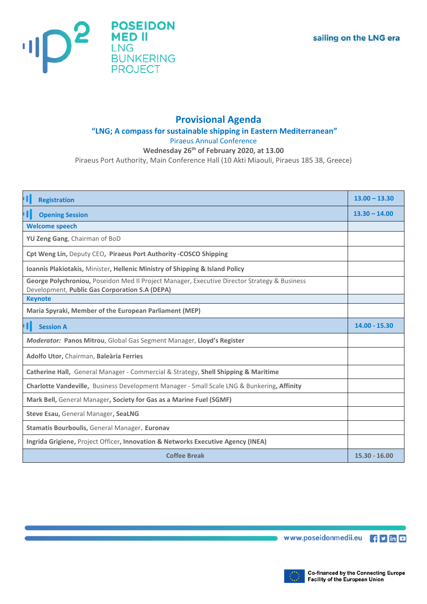

## **Provisional Agenda**

## **"LNG; A compass for sustainable shipping in Eastern Mediterranean"**

Piraeus Annual Conference

## **Wednesday 26th of February 2020, at 13.00**

Piraeus Port Authority, Main Conference Hall (10 Akti Miaouli, Piraeus 185 38, Greece)

| <b>'</b>  <br><b>Registration</b>                                                                                                              | $13.00 - 13.30$ |
|------------------------------------------------------------------------------------------------------------------------------------------------|-----------------|
| ' I I<br><b>Opening Session</b>                                                                                                                | $13.30 - 14.00$ |
| <b>Welcome speech</b>                                                                                                                          |                 |
| YU Zeng Gang, Chairman of BoD                                                                                                                  |                 |
| Cpt Weng Lin, Deputy CEO, Piraeus Port Authority - COSCO Shipping                                                                              |                 |
| Ioannis Plakiotakis, Minister, Hellenic Ministry of Shipping & Island Policy                                                                   |                 |
| George Polychroniou, Poseidon Med II Project Manager, Executive Director Strategy & Business<br>Development, Public Gas Corporation S.A (DEPA) |                 |
| <b>Keynote</b>                                                                                                                                 |                 |
| Maria Spyraki, Member of the European Parliament (MEP)                                                                                         |                 |
| ' I I<br><b>Session A</b>                                                                                                                      | $14.00 - 15.30$ |
| Moderator: Panos Mitrou, Global Gas Segment Manager, Lloyd's Register                                                                          |                 |
| Adolfo Utor, Chairman, Baleària Ferries                                                                                                        |                 |
| Catherine Hall, General Manager - Commercial & Strategy, Shell Shipping & Maritime                                                             |                 |
| Charlotte Vandeville, Business Development Manager - Small Scale LNG & Bunkering, Affinity                                                     |                 |
| Mark Bell, General Manager, Society for Gas as a Marine Fuel (SGMF)                                                                            |                 |
| Steve Esau, General Manager, SeaLNG                                                                                                            |                 |
| Stamatis Bourboulis, General Manager, Euronav                                                                                                  |                 |
| Ingrida Grigiene, Project Officer, Innovation & Networks Executive Agency (INEA)                                                               |                 |
| <b>Coffee Break</b>                                                                                                                            | $15.30 - 16.00$ |